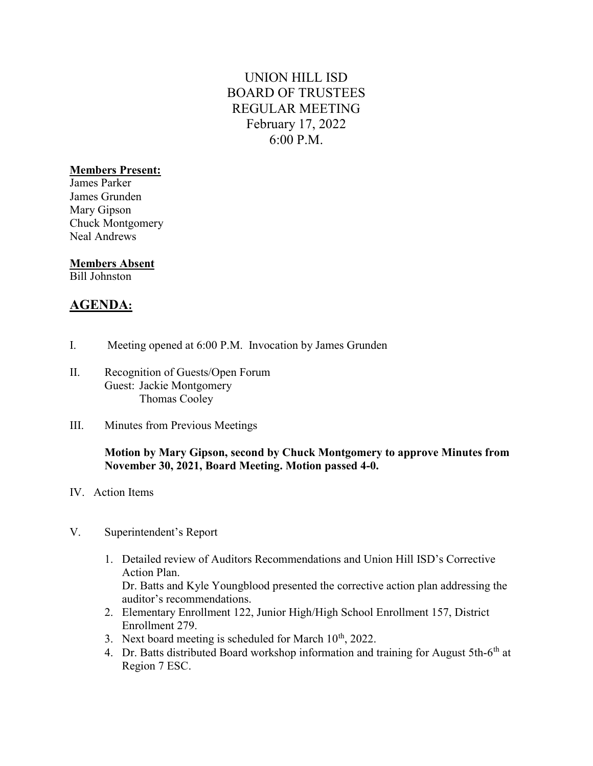# UNION HILL ISD BOARD OF TRUSTEES REGULAR MEETING February 17, 2022 6:00 P.M.

### Members Present:

James Parker James Grunden Mary Gipson Chuck Montgomery Neal Andrews

#### Members Absent

Bill Johnston

## AGENDA:

- I. Meeting opened at 6:00 P.M. Invocation by James Grunden
- II. Recognition of Guests/Open Forum Guest: Jackie Montgomery Thomas Cooley
- III. Minutes from Previous Meetings

### Motion by Mary Gipson, second by Chuck Montgomery to approve Minutes from November 30, 2021, Board Meeting. Motion passed 4-0.

- IV. Action Items
- V. Superintendent's Report
	- 1. Detailed review of Auditors Recommendations and Union Hill ISD's Corrective Action Plan. Dr. Batts and Kyle Youngblood presented the corrective action plan addressing the
	- auditor's recommendations. 2. Elementary Enrollment 122, Junior High/High School Enrollment 157, District Enrollment 279.
	- 3. Next board meeting is scheduled for March  $10^{th}$ , 2022.
	- 4. Dr. Batts distributed Board workshop information and training for August 5th-6<sup>th</sup> at Region 7 ESC.